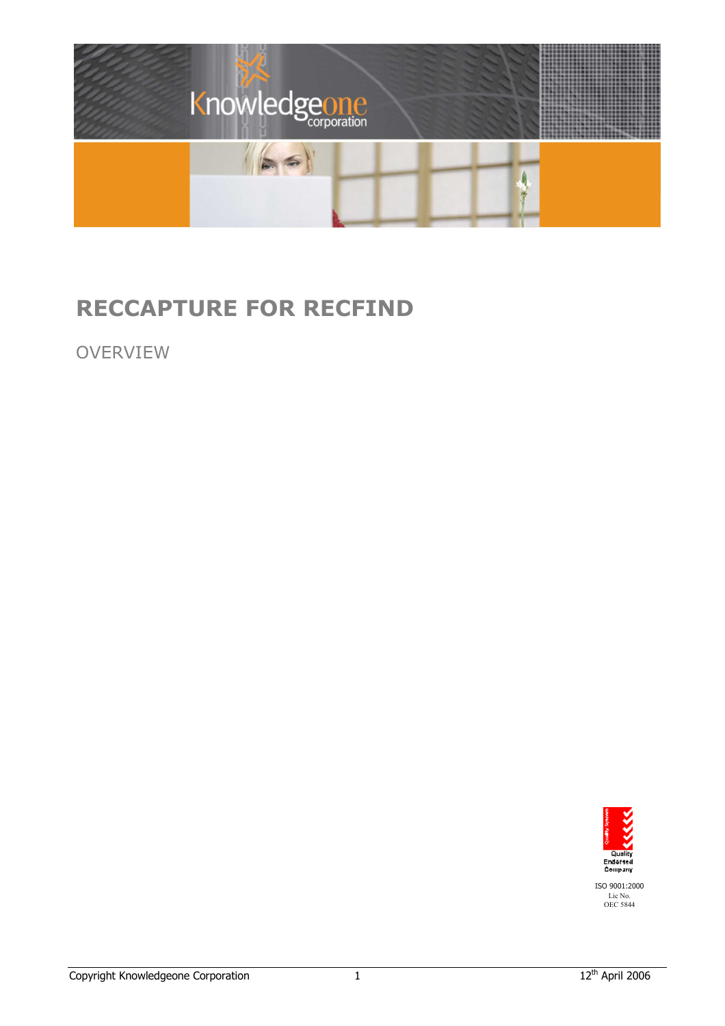

# **RECCAPTURE FOR RECFIND**

**OVERVIEW** 

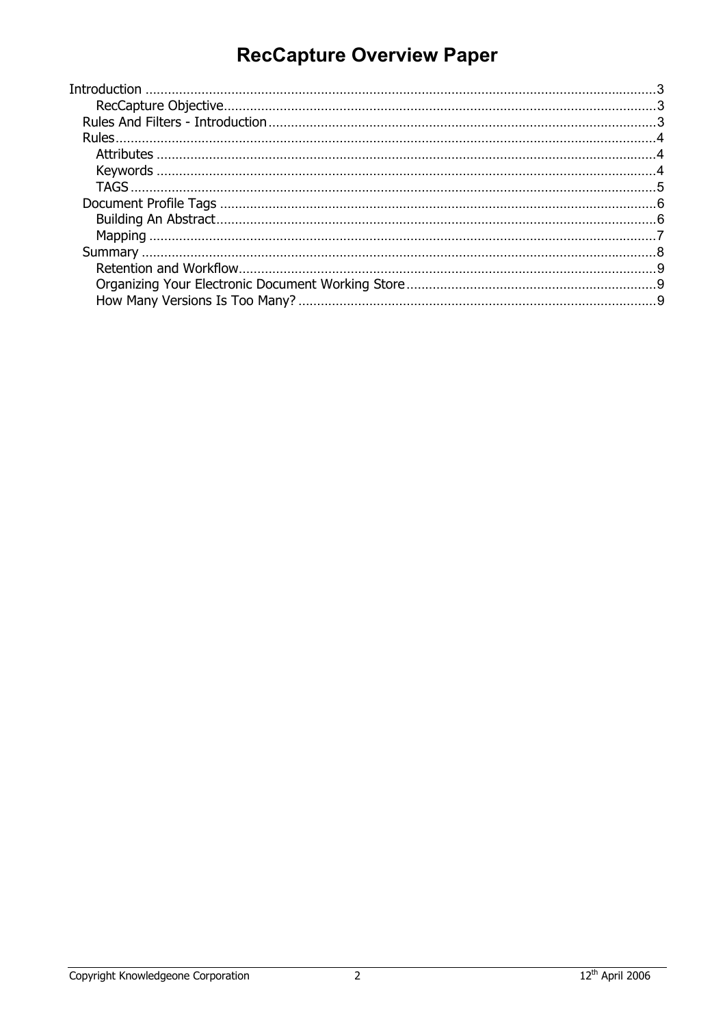# **RecCapture Overview Paper**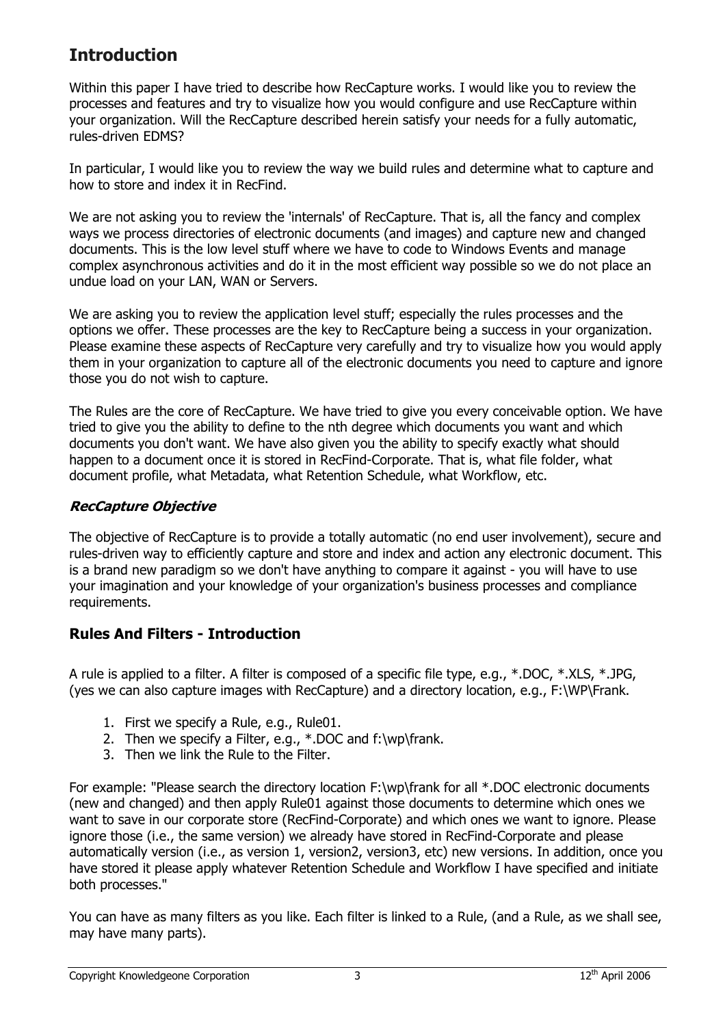## <span id="page-2-0"></span>**Introduction**

Within this paper I have tried to describe how RecCapture works. I would like you to review the processes and features and try to visualize how you would configure and use RecCapture within your organization. Will the RecCapture described herein satisfy your needs for a fully automatic, rules-driven EDMS?

In particular, I would like you to review the way we build rules and determine what to capture and how to store and index it in RecFind.

We are not asking you to review the 'internals' of RecCapture. That is, all the fancy and complex ways we process directories of electronic documents (and images) and capture new and changed documents. This is the low level stuff where we have to code to Windows Events and manage complex asynchronous activities and do it in the most efficient way possible so we do not place an undue load on your LAN, WAN or Servers.

We are asking you to review the application level stuff; especially the rules processes and the options we offer. These processes are the key to RecCapture being a success in your organization. Please examine these aspects of RecCapture very carefully and try to visualize how you would apply them in your organization to capture all of the electronic documents you need to capture and ignore those you do not wish to capture.

The Rules are the core of RecCapture. We have tried to give you every conceivable option. We have tried to give you the ability to define to the nth degree which documents you want and which documents you don't want. We have also given you the ability to specify exactly what should happen to a document once it is stored in RecFind-Corporate. That is, what file folder, what document profile, what Metadata, what Retention Schedule, what Workflow, etc.

#### **RecCapture Objective**

The objective of RecCapture is to provide a totally automatic (no end user involvement), secure and rules-driven way to efficiently capture and store and index and action any electronic document. This is a brand new paradigm so we don't have anything to compare it against - you will have to use your imagination and your knowledge of your organization's business processes and compliance requirements.

### **Rules And Filters - Introduction**

A rule is applied to a filter. A filter is composed of a specific file type, e.g., \*.DOC, \*.XLS, \*.JPG, (yes we can also capture images with RecCapture) and a directory location, e.g., F:\WP\Frank.

- 1. First we specify a Rule, e.g., Rule01.
- 2. Then we specify a Filter, e.g., \*.DOC and f:\wp\frank.
- 3. Then we link the Rule to the Filter.

For example: "Please search the directory location F:\wp\frank for all \*.DOC electronic documents (new and changed) and then apply Rule01 against those documents to determine which ones we want to save in our corporate store (RecFind-Corporate) and which ones we want to ignore. Please ignore those (i.e., the same version) we already have stored in RecFind-Corporate and please automatically version (i.e., as version 1, version2, version3, etc) new versions. In addition, once you have stored it please apply whatever Retention Schedule and Workflow I have specified and initiate both processes."

You can have as many filters as you like. Each filter is linked to a Rule, (and a Rule, as we shall see, may have many parts).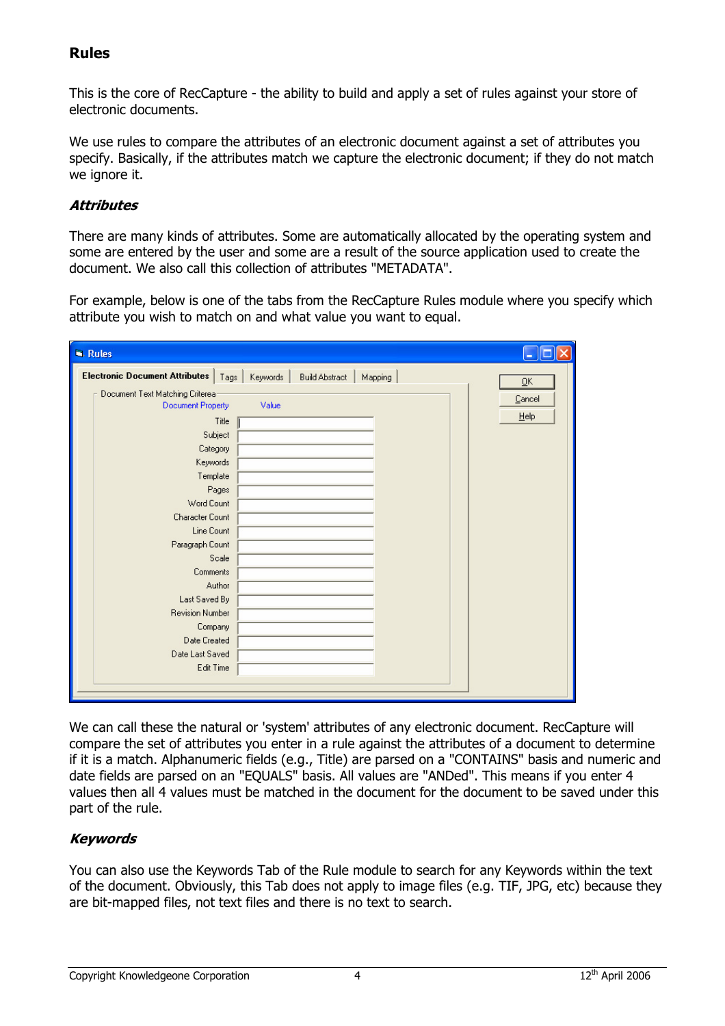### <span id="page-3-0"></span>**Rules**

This is the core of RecCapture - the ability to build and apply a set of rules against your store of electronic documents.

We use rules to compare the attributes of an electronic document against a set of attributes you specify. Basically, if the attributes match we capture the electronic document; if they do not match we ignore it.

#### **Attributes**

There are many kinds of attributes. Some are automatically allocated by the operating system and some are entered by the user and some are a result of the source application used to create the document. We also call this collection of attributes "METADATA".

For example, below is one of the tabs from the RecCapture Rules module where you specify which attribute you wish to match on and what value you want to equal.

| <b>N. Rules</b>                                       |                                                    |
|-------------------------------------------------------|----------------------------------------------------|
| <b>Electronic Document Attributes</b><br>Tags         | <b>Build Abstract</b><br>Keywords<br>Mapping<br>QK |
| Document Text Matching Criterea-<br>Document Property | Cancel<br>Value                                    |
| Title<br>Subject                                      | Help                                               |
| Category<br>Keywords                                  |                                                    |
| Template                                              |                                                    |
| Pages<br>Word Count                                   |                                                    |
| <b>Character Count</b><br>Line Count                  |                                                    |
| Paragraph Count<br>Scale                              |                                                    |
| <b>Comments</b>                                       |                                                    |
| Author<br>Last Saved By                               |                                                    |
| <b>Revision Number</b><br>Company                     |                                                    |
| <b>Date Created</b>                                   |                                                    |
| Date Last Saved<br>Edit Time                          |                                                    |
|                                                       |                                                    |

We can call these the natural or 'system' attributes of any electronic document. RecCapture will compare the set of attributes you enter in a rule against the attributes of a document to determine if it is a match. Alphanumeric fields (e.g., Title) are parsed on a "CONTAINS" basis and numeric and date fields are parsed on an "EQUALS" basis. All values are "ANDed". This means if you enter 4 values then all 4 values must be matched in the document for the document to be saved under this part of the rule.

### **Keywords**

You can also use the Keywords Tab of the Rule module to search for any Keywords within the text of the document. Obviously, this Tab does not apply to image files (e.g. TIF, JPG, etc) because they are bit-mapped files, not text files and there is no text to search.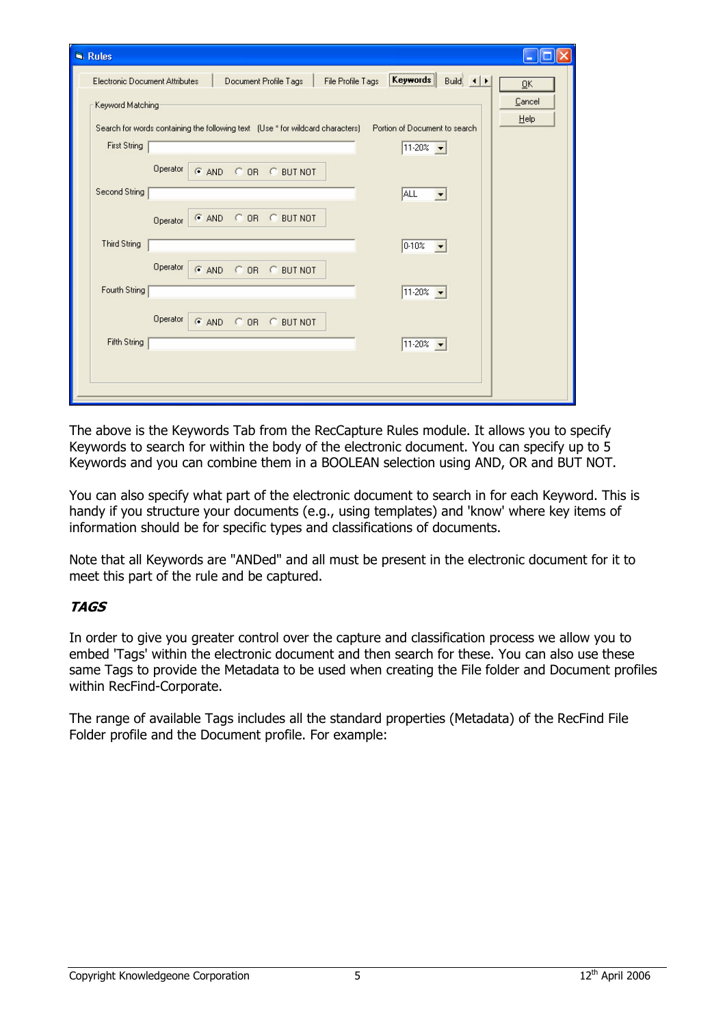<span id="page-4-0"></span>

| <b>N. Rules</b>                                                                                                                                                                                 |        |
|-------------------------------------------------------------------------------------------------------------------------------------------------------------------------------------------------|--------|
| Keywords<br>Build $\left  \begin{array}{c} \end{array} \right $ + $\left  \begin{array}{c} \end{array} \right $<br>Electronic Document Attributes<br>Document Profile Tags<br>File Profile Tags | QK     |
| Keyword Matching                                                                                                                                                                                | Cancel |
| Search for words containing the following text (Use * for wildcard characters) Portion of Document to search                                                                                    | Help   |
| <b>First String</b><br>$11-20%$                                                                                                                                                                 |        |
| Operator<br>CAND COR CBUTNOT                                                                                                                                                                    |        |
| Second String<br>ALL                                                                                                                                                                            |        |
| C OR C BUT NOT<br>$C$ AND<br>Operator                                                                                                                                                           |        |
| <b>Third String</b><br>0.10%<br>$\overline{\phantom{a}}$                                                                                                                                        |        |
| Operator<br>CAND COR CBUTNOT                                                                                                                                                                    |        |
| Fourth String<br>$11-20\%$ $\rightarrow$                                                                                                                                                        |        |
| Operator<br>$G$ AND<br>C OR C BUT NOT                                                                                                                                                           |        |
| Fifth String<br>$ 11-20\% $ $\rightarrow$                                                                                                                                                       |        |
|                                                                                                                                                                                                 |        |
|                                                                                                                                                                                                 |        |

The above is the Keywords Tab from the RecCapture Rules module. It allows you to specify Keywords to search for within the body of the electronic document. You can specify up to 5 Keywords and you can combine them in a BOOLEAN selection using AND, OR and BUT NOT.

You can also specify what part of the electronic document to search in for each Keyword. This is handy if you structure your documents (e.g., using templates) and 'know' where key items of information should be for specific types and classifications of documents.

Note that all Keywords are "ANDed" and all must be present in the electronic document for it to meet this part of the rule and be captured.

#### **TAGS**

In order to give you greater control over the capture and classification process we allow you to embed 'Tags' within the electronic document and then search for these. You can also use these same Tags to provide the Metadata to be used when creating the File folder and Document profiles within RecFind-Corporate.

The range of available Tags includes all the standard properties (Metadata) of the RecFind File Folder profile and the Document profile. For example: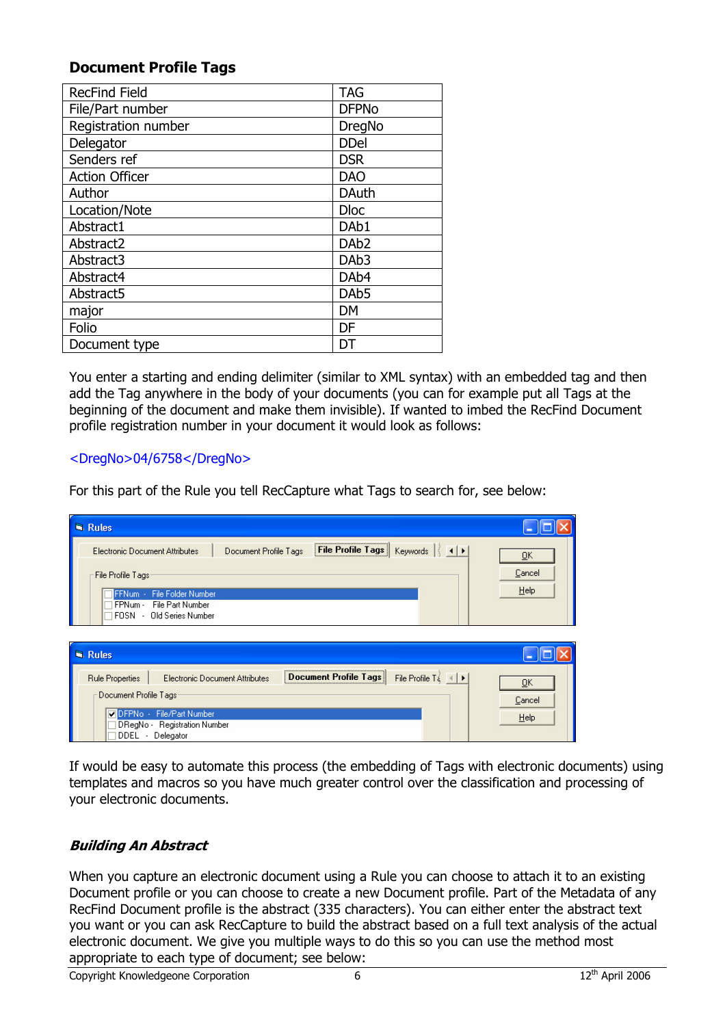### <span id="page-5-0"></span>**Document Profile Tags**

| <b>RecFind Field</b>  | <b>TAG</b>        |
|-----------------------|-------------------|
| File/Part number      | <b>DFPNo</b>      |
| Registration number   | <b>DregNo</b>     |
| Delegator             | <b>DDel</b>       |
| Senders ref           | <b>DSR</b>        |
| <b>Action Officer</b> | <b>DAO</b>        |
| Author                | <b>DAuth</b>      |
| Location/Note         | <b>Dloc</b>       |
| Abstract1             | DA <sub>b1</sub>  |
| Abstract2             | DA <sub>b</sub> 2 |
| Abstract3             | DA <sub>b</sub> 3 |
| Abstract4             | DA <sub>b</sub> 4 |
| Abstract5             | DA <sub>b</sub> 5 |
| major                 | <b>DM</b>         |
| Folio                 | DF                |
| Document type         | DT                |

You enter a starting and ending delimiter (similar to XML syntax) with an embedded tag and then add the Tag anywhere in the body of your documents (you can for example put all Tags at the beginning of the document and make them invisible). If wanted to imbed the RecFind Document profile registration number in your document it would look as follows:

#### <DregNo>04/6758</DregNo>

For this part of the Rule you tell RecCapture what Tags to search for, see below:

| Rules                                                                                                                                                                                                         |                                             |
|---------------------------------------------------------------------------------------------------------------------------------------------------------------------------------------------------------------|---------------------------------------------|
| File Profile Tags   Keywords   4   1<br>Document Profile Tags<br>Electronic Document Attributes<br>- File Profile Tags-<br>FFNum - File Folder Number<br>FPNum - File Part Number<br>FOSN - Old Series Number | $\overline{\mathsf{U}}$ K<br>Cancel<br>Help |
| <b>N. Rules</b>                                                                                                                                                                                               |                                             |

| <b>N</b> Rules               |                                                         |                                |        |
|------------------------------|---------------------------------------------------------|--------------------------------|--------|
| Rule Properties              | Document Profile Tags<br>Electronic Document Attributes | File Profile $T_4 \rightarrow$ |        |
| - Document Profile Tags-     |                                                         |                                | Cancel |
| DFPNo - File/Part Number     |                                                         |                                | Help   |
| DRegNo - Registration Number |                                                         |                                |        |
| Delegator<br>DDEL            |                                                         |                                |        |

If would be easy to automate this process (the embedding of Tags with electronic documents) using templates and macros so you have much greater control over the classification and processing of your electronic documents.

#### **Building An Abstract**

When you capture an electronic document using a Rule you can choose to attach it to an existing Document profile or you can choose to create a new Document profile. Part of the Metadata of any RecFind Document profile is the abstract (335 characters). You can either enter the abstract text you want or you can ask RecCapture to build the abstract based on a full text analysis of the actual electronic document. We give you multiple ways to do this so you can use the method most appropriate to each type of document; see below: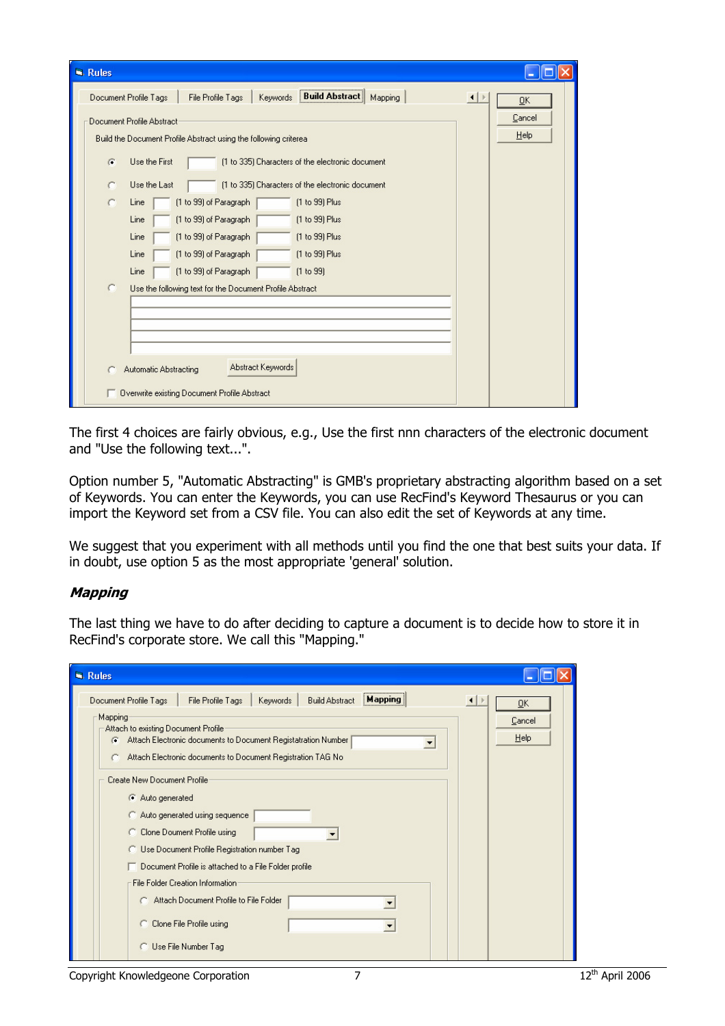<span id="page-6-0"></span>

| <b>N. Rules</b>                                                                                                           |                |
|---------------------------------------------------------------------------------------------------------------------------|----------------|
| <b>Build Abstract</b><br>Document Profile Tags<br>File Profile Tags<br>Keywords<br>Mapping<br>$\left  \cdot \right $      | <b>OK</b>      |
| Document Profile Abstract:<br>Build the Document Profile Abstract using the following criterea                            | Cancel<br>Help |
| Use the First<br>[1 to 335] Characters of the electronic document<br>G                                                    |                |
| Use the Last<br>(1 to 335) Characters of the electronic document<br>(1 to 99) of Paragraph<br>(1 to 99) Plus<br>C<br>Line |                |
| (1 to 99) of Paragraph<br>[1 to 99] Plus<br>Line<br>(1 to 99) of Paragraph<br>[1 to 99] Plus<br>Line                      |                |
| (1 to 99) of Paragraph<br>[1 to 99] Plus<br>Line<br>(1 to 99) of Paragraph<br>(1 to 99)<br>Line                           |                |
| c<br>Use the following text for the Document Profile Abstract                                                             |                |
|                                                                                                                           |                |
|                                                                                                                           |                |
| Abstract Keywords<br><b>Automatic Abstracting</b>                                                                         |                |
| Overwrite existing Document Profile Abstract                                                                              |                |

The first 4 choices are fairly obvious, e.g., Use the first nnn characters of the electronic document and "Use the following text...".

Option number 5, "Automatic Abstracting" is GMB's proprietary abstracting algorithm based on a set of Keywords. You can enter the Keywords, you can use RecFind's Keyword Thesaurus or you can import the Keyword set from a CSV file. You can also edit the set of Keywords at any time.

We suggest that you experiment with all methods until you find the one that best suits your data. If in doubt, use option 5 as the most appropriate 'general' solution.

#### **Mapping**

The last thing we have to do after deciding to capture a document is to decide how to store it in RecFind's corporate store. We call this "Mapping."

| <b>N. Rules</b>                                                                                                                                                                                                                                                                                                                                                                                                                                                                                                                                                                                                                                              |                      |
|--------------------------------------------------------------------------------------------------------------------------------------------------------------------------------------------------------------------------------------------------------------------------------------------------------------------------------------------------------------------------------------------------------------------------------------------------------------------------------------------------------------------------------------------------------------------------------------------------------------------------------------------------------------|----------------------|
| Mapping<br>Document Profile Tags<br>File Profile Tags<br>Keywords<br><b>Build Abstract</b><br>Mapping<br>Attach to existing Document Profile<br>Attach Electronic documents to Document Registatration Number<br>G.<br>Attach Electronic documents to Document Registration TAG No<br>Create New Document Profile<br>Auto generated<br>Auto generated using sequence<br>C Clone Doument Profile using<br>C Use Document Profile Registration number Tag<br>Document Profile is attached to a File Folder profile<br>File Folder Creation Information<br>Attach Document Profile to File Folder<br>C Clone File Profile using<br><b>C</b> Use File Number Tag | QK<br>Cancel<br>Help |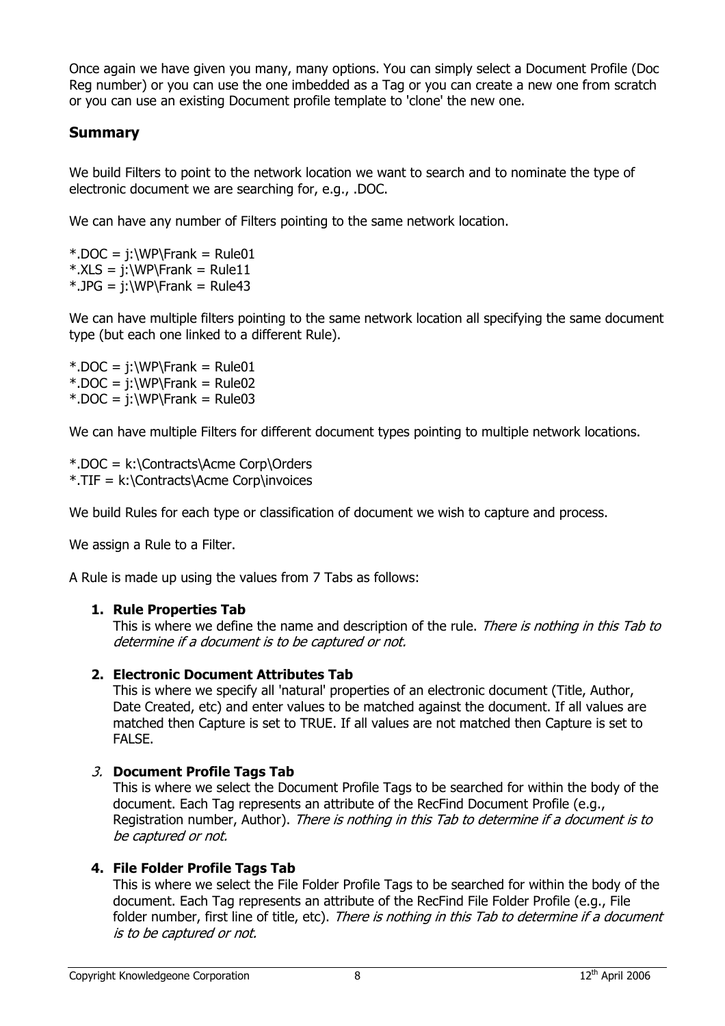<span id="page-7-0"></span>Once again we have given you many, many options. You can simply select a Document Profile (Doc Reg number) or you can use the one imbedded as a Tag or you can create a new one from scratch or you can use an existing Document profile template to 'clone' the new one.

#### **Summary**

We build Filters to point to the network location we want to search and to nominate the type of electronic document we are searching for, e.g., .DOC.

We can have any number of Filters pointing to the same network location.

\*.DOC = j:\WP\Frank = Rule01 \*.XLS = j:\WP\Frank = Rule11 \*.JPG = j:\WP\Frank = Rule43

We can have multiple filters pointing to the same network location all specifying the same document type (but each one linked to a different Rule).

\*.DOC = j:\WP\Frank = Rule01 \*.DOC = j:\WP\Frank = Rule02 \*.DOC = j:\WP\Frank = Rule03

We can have multiple Filters for different document types pointing to multiple network locations.

\*.DOC = k:\Contracts\Acme Corp\Orders \*.TIF = k:\Contracts\Acme Corp\invoices

We build Rules for each type or classification of document we wish to capture and process.

We assign a Rule to a Filter.

A Rule is made up using the values from 7 Tabs as follows:

#### **1. Rule Properties Tab**

This is where we define the name and description of the rule. *There is nothing in this Tab to* determine if a document is to be captured or not.

#### **2. Electronic Document Attributes Tab**

This is where we specify all 'natural' properties of an electronic document (Title, Author, Date Created, etc) and enter values to be matched against the document. If all values are matched then Capture is set to TRUE. If all values are not matched then Capture is set to FALSE.

#### 3. **Document Profile Tags Tab**

be captured or not. This is where we select the Document Profile Tags to be searched for within the body of the document. Each Tag represents an attribute of the RecFind Document Profile (e.g., Registration number, Author). There is nothing in this Tab to determine if a document is to

#### **4. File Folder Profile Tags Tab**

is to be captured or not. This is where we select the File Folder Profile Tags to be searched for within the body of the document. Each Tag represents an attribute of the RecFind File Folder Profile (e.g., File folder number, first line of title, etc). There is nothing in this Tab to determine if a document